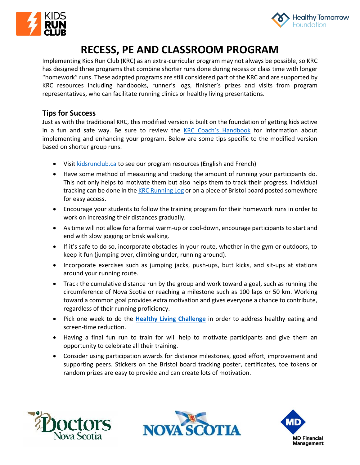



# **RECESS, PE AND CLASSROOM PROGRAM**

Implementing Kids Run Club (KRC) as an extra-curricular program may not always be possible, so KRC has designed three programs that combine shorter runs done during recess or class time with longer "homework" runs. These adapted programs are still considered part of the KRC and are supported by KRC resources including handbooks, runner's logs, finisher's prizes and visits from program representatives, who can facilitate running clinics or healthy living presentations.

## **Tips for Success**

Just as with the traditional KRC, this modified version is built on the foundation of getting kids active in a fun and safe way. Be sure to review the [KRC Coach's Handbook](http://www.kidsrunclub.ca/coachs-corner) for information about implementing and enhancing your program. Below are some tips specific to the modified version based on shorter group runs.

- Visi[t kidsrunclub.ca](http://www.kidsrunclub.ca/) to see our program resources (English and French)
- Have some method of measuring and tracking the amount of running your participants do. This not only helps to motivate them but also helps them to track their progress. Individual tracking can be done in the [KRC Running Log](http://kidsrunclub.ca/wp-content/uploads/2018/06/RunnersLog2018-EN-1.pdf) or on a piece of Bristol board posted somewhere for easy access.
- Encourage your students to follow the training program for their homework runs in order to work on increasing their distances gradually.
- As time will not allow for a formal warm-up or cool-down, encourage participants to start and end with slow jogging or brisk walking.
- If it's safe to do so, incorporate obstacles in your route, whether in the gym or outdoors, to keep it fun (jumping over, climbing under, running around).
- Incorporate exercises such as jumping jacks, push-ups, butt kicks, and sit-ups at stations around your running route.
- Track the cumulative distance run by the group and work toward a goal, such as running the circumference of Nova Scotia or reaching a milestone such as 100 laps or 50 km. Working toward a common goal provides extra motivation and gives everyone a chance to contribute, regardless of their running proficiency.
- Pick one week to do the **[Healthy Living Challenge](http://kidsrunclub.ca/wp-content/uploads/2018/06/HealthyLivingChallenge-EN-2018.pdf)** in order to address healthy eating and screen-time reduction.
- Having a final fun run to train for will help to motivate participants and give them an opportunity to celebrate all their training.
- Consider using participation awards for distance milestones, good effort, improvement and supporting peers. Stickers on the Bristol board tracking poster, certificates, toe tokens or random prizes are easy to provide and can create lots of motivation.





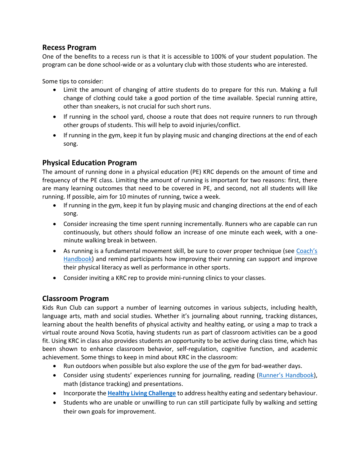#### **Recess Program**

One of the benefits to a recess run is that it is accessible to 100% of your student population. The program can be done school-wide or as a voluntary club with those students who are interested.

Some tips to consider:

- Limit the amount of changing of attire students do to prepare for this run. Making a full change of clothing could take a good portion of the time available. Special running attire, other than sneakers, is not crucial for such short runs.
- If running in the school yard, choose a route that does not require runners to run through other groups of students. This will help to avoid injuries/conflict.
- If running in the gym, keep it fun by playing music and changing directions at the end of each song.

### **Physical Education Program**

The amount of running done in a physical education (PE) KRC depends on the amount of time and frequency of the PE class. Limiting the amount of running is important for two reasons: first, there are many learning outcomes that need to be covered in PE, and second, not all students will like running. If possible, aim for 10 minutes of running, twice a week.

- If running in the gym, keep it fun by playing music and changing directions at the end of each song.
- Consider increasing the time spent running incrementally. Runners who are capable can run continuously, but others should follow an increase of one minute each week, with a oneminute walking break in between.
- As running is a fundamental movement skill, be sure to cover proper technique (see Coach's [Handbook\)](http://kidsrunclub.ca/wp-content/uploads/2018/06/KRC-Coach-2018.pdf) and remind participants how improving their running can support and improve their physical literacy as well as performance in other sports.
- Consider inviting a KRC rep to provide mini-running clinics to your classes.

# **Classroom Program**

Kids Run Club can support a number of learning outcomes in various subjects, including health, language arts, math and social studies. Whether it's journaling about running, tracking distances, learning about the health benefits of physical activity and healthy eating, or using a map to track a virtual route around Nova Scotia, having students run as part of classroom activities can be a good fit. Using KRC in class also provides students an opportunity to be active during class time, which has been shown to enhance classroom behavior, self-regulation, cognitive function, and academic achievement. Some things to keep in mind about KRC in the classroom:

- Run outdoors when possible but also explore the use of the gym for bad-weather days.
- Consider using students' experiences running for journaling, reading [\(Runner's Handbook](http://kidsrunclub.ca/wp-content/uploads/2018/06/KRC-handbook-EN-2018.pdf)), math (distance tracking) and presentations.
- Incorporate the **[Healthy Living Challenge](http://kidsrunclub.ca/wp-content/uploads/2018/06/HealthyLivingChallenge-EN-2018.pdf)** to address healthy eating and sedentary behaviour.
- Students who are unable or unwilling to run can still participate fully by walking and setting their own goals for improvement.